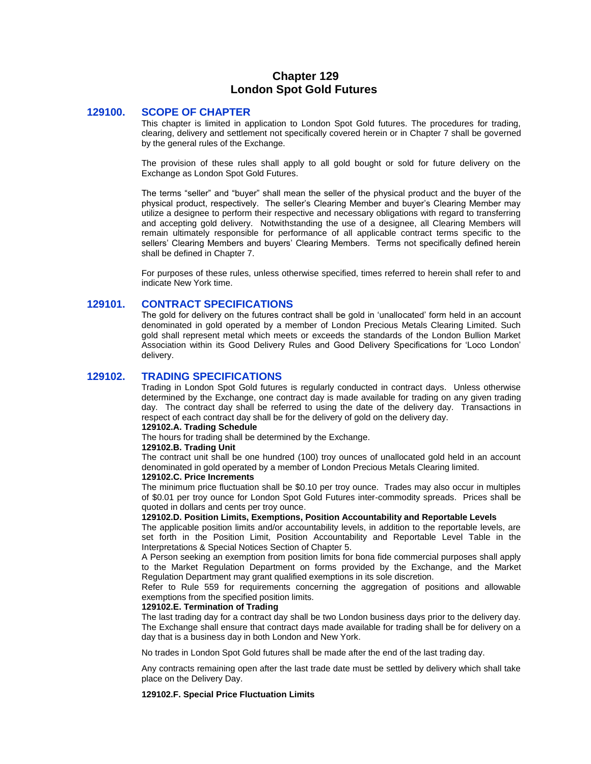# **Chapter 129 London Spot Gold Futures**

## **129100. SCOPE OF CHAPTER**

This chapter is limited in application to London Spot Gold futures. The procedures for trading, clearing, delivery and settlement not specifically covered herein or in Chapter 7 shall be governed by the general rules of the Exchange.

The provision of these rules shall apply to all gold bought or sold for future delivery on the Exchange as London Spot Gold Futures.

The terms "seller" and "buyer" shall mean the seller of the physical product and the buyer of the physical product, respectively. The seller's Clearing Member and buyer's Clearing Member may utilize a designee to perform their respective and necessary obligations with regard to transferring and accepting gold delivery. Notwithstanding the use of a designee, all Clearing Members will remain ultimately responsible for performance of all applicable contract terms specific to the sellers' Clearing Members and buyers' Clearing Members. Terms not specifically defined herein shall be defined in Chapter 7.

For purposes of these rules, unless otherwise specified, times referred to herein shall refer to and indicate New York time.

## **129101. CONTRACT SPECIFICATIONS**

The gold for delivery on the futures contract shall be gold in 'unallocated' form held in an account denominated in gold operated by a member of London Precious Metals Clearing Limited. Such gold shall represent metal which meets or exceeds the standards of the London Bullion Market Association within its Good Delivery Rules and Good Delivery Specifications for 'Loco London' delivery.

## **129102. TRADING SPECIFICATIONS**

Trading in London Spot Gold futures is regularly conducted in contract days. Unless otherwise determined by the Exchange, one contract day is made available for trading on any given trading day. The contract day shall be referred to using the date of the delivery day. Transactions in respect of each contract day shall be for the delivery of gold on the delivery day.

#### **129102.A. Trading Schedule**

The hours for trading shall be determined by the Exchange.

## **129102.B. Trading Unit**

The contract unit shall be one hundred (100) troy ounces of unallocated gold held in an account denominated in gold operated by a member of London Precious Metals Clearing limited.

## **129102.C. Price Increments**

The minimum price fluctuation shall be \$0.10 per troy ounce. Trades may also occur in multiples of \$0.01 per troy ounce for London Spot Gold Futures inter-commodity spreads. Prices shall be quoted in dollars and cents per troy ounce.

#### **129102.D. Position Limits, Exemptions, Position Accountability and Reportable Levels**

The applicable position limits and/or accountability levels, in addition to the reportable levels, are set forth in the Position Limit, Position Accountability and Reportable Level Table in the Interpretations & Special Notices Section of Chapter 5.

A Person seeking an exemption from position limits for bona fide commercial purposes shall apply to the Market Regulation Department on forms provided by the Exchange, and the Market Regulation Department may grant qualified exemptions in its sole discretion.

Refer to Rule 559 for requirements concerning the aggregation of positions and allowable exemptions from the specified position limits.

#### **129102.E. Termination of Trading**

The last trading day for a contract day shall be two London business days prior to the delivery day. The Exchange shall ensure that contract days made available for trading shall be for delivery on a day that is a business day in both London and New York.

No trades in London Spot Gold futures shall be made after the end of the last trading day.

Any contracts remaining open after the last trade date must be settled by delivery which shall take place on the Delivery Day.

#### **129102.F. Special Price Fluctuation Limits**